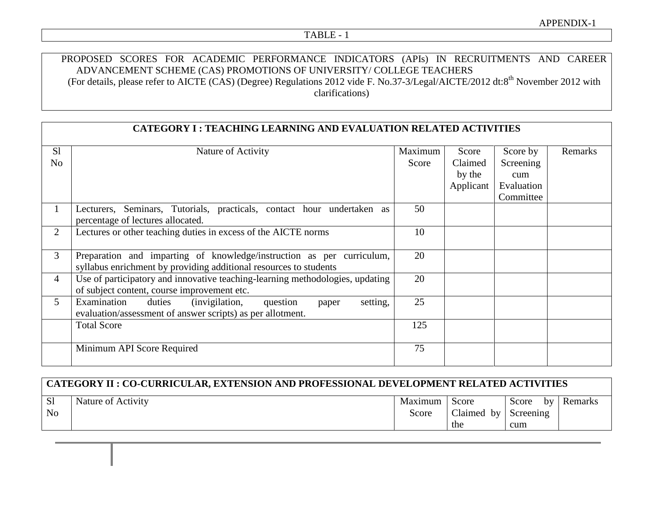## TABLE - 1

## PROPOSED SCORES FOR ACADEMIC PERFORMANCE INDICATORS (APIs) IN RECRUITMENTS AND CAREER ADVANCEMENT SCHEME (CAS) PROMOTIONS OF UNIVERSITY/ COLLEGE TEACHERS (For details, please refer to AICTE (CAS) (Degree) Regulations 2012 vide F. No.37-3/Legal/AICTE/2012 dt:8<sup>th</sup> November 2012 with clarifications)

|                | <b>CATEGORY I: TEACHING LEARNING AND EVALUATION RELATED ACTIVITIES</b>                                      |         |           |            |         |  |  |  |  |
|----------------|-------------------------------------------------------------------------------------------------------------|---------|-----------|------------|---------|--|--|--|--|
| S <sub>1</sub> | Nature of Activity                                                                                          | Maximum | Score     | Score by   | Remarks |  |  |  |  |
| N <sub>o</sub> |                                                                                                             | Score   | Claimed   | Screening  |         |  |  |  |  |
|                |                                                                                                             |         | by the    | cum        |         |  |  |  |  |
|                |                                                                                                             |         | Applicant | Evaluation |         |  |  |  |  |
|                |                                                                                                             |         |           | Committee  |         |  |  |  |  |
| $\mathbf{1}$   | Lecturers, Seminars, Tutorials, practicals, contact hour undertaken as<br>percentage of lectures allocated. | 50      |           |            |         |  |  |  |  |
| 2              | Lectures or other teaching duties in excess of the AICTE norms                                              | 10      |           |            |         |  |  |  |  |
|                |                                                                                                             |         |           |            |         |  |  |  |  |
| 3              | Preparation and imparting of knowledge/instruction as per curriculum,                                       | 20      |           |            |         |  |  |  |  |
|                | syllabus enrichment by providing additional resources to students                                           |         |           |            |         |  |  |  |  |
| $\overline{4}$ | Use of participatory and innovative teaching-learning methodologies, updating                               | 20      |           |            |         |  |  |  |  |
|                | of subject content, course improvement etc.                                                                 |         |           |            |         |  |  |  |  |
| 5 <sup>5</sup> | Examination<br>duties<br>(invigilation,<br>setting,<br>question<br>paper                                    | 25      |           |            |         |  |  |  |  |
|                | evaluation/assessment of answer scripts) as per allotment.                                                  |         |           |            |         |  |  |  |  |
|                | <b>Total Score</b>                                                                                          | 125     |           |            |         |  |  |  |  |
|                | Minimum API Score Required                                                                                  | 75      |           |            |         |  |  |  |  |
|                |                                                                                                             |         |           |            |         |  |  |  |  |

| ' CATEGORY II : CO-CURRICULAR, EXTENSION AND PROFESSIONAL DEVELOPMENT RELATED ACTIVITIES |                    |         |                      |             |         |  |  |
|------------------------------------------------------------------------------------------|--------------------|---------|----------------------|-------------|---------|--|--|
| <sub>S1</sub>                                                                            | Nature of Activity | Maximum | Score                | Score<br>by | Remarks |  |  |
| N <sub>o</sub>                                                                           |                    | Score   | Claimed by Screening |             |         |  |  |
|                                                                                          |                    |         | the                  | cum         |         |  |  |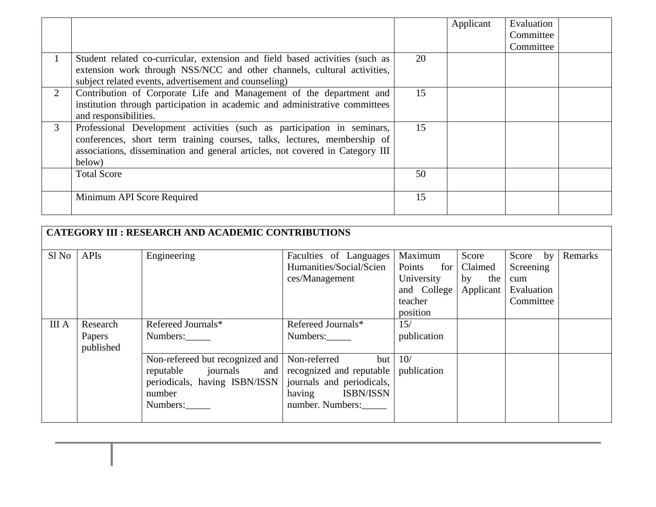|                |                                                                               |    | Applicant | Evaluation |  |
|----------------|-------------------------------------------------------------------------------|----|-----------|------------|--|
|                |                                                                               |    |           | Committee  |  |
|                |                                                                               |    |           | Committee  |  |
|                | Student related co-curricular, extension and field based activities (such as  | 20 |           |            |  |
|                | extension work through NSS/NCC and other channels, cultural activities,       |    |           |            |  |
|                | subject related events, advertisement and counseling)                         |    |           |            |  |
| $\overline{2}$ | Contribution of Corporate Life and Management of the department and           | 15 |           |            |  |
|                | institution through participation in academic and administrative committees   |    |           |            |  |
|                | and responsibilities.                                                         |    |           |            |  |
| 3              | Professional Development activities (such as participation in seminars,       | 15 |           |            |  |
|                | conferences, short term training courses, talks, lectures, membership of      |    |           |            |  |
|                | associations, dissemination and general articles, not covered in Category III |    |           |            |  |
|                | below)                                                                        |    |           |            |  |
|                | <b>Total Score</b>                                                            | 50 |           |            |  |
|                |                                                                               |    |           |            |  |
|                | Minimum API Score Required                                                    | 15 |           |            |  |
|                |                                                                               |    |           |            |  |

| <b>CATEGORY III : RESEARCH AND ACADEMIC CONTRIBUTIONS</b> |                                 |                                                                                     |                                                                                               |                                                                              |                                            |                                                         |         |  |  |
|-----------------------------------------------------------|---------------------------------|-------------------------------------------------------------------------------------|-----------------------------------------------------------------------------------------------|------------------------------------------------------------------------------|--------------------------------------------|---------------------------------------------------------|---------|--|--|
| Sl No                                                     | <b>APIs</b>                     | Engineering                                                                         | Faculties of Languages<br>Humanities/Social/Scien<br>ces/Management                           | Maximum<br>Points<br>for<br>University<br>and College<br>teacher<br>position | Score<br>Claimed<br>the<br>by<br>Applicant | Score by<br>Screening<br>cum<br>Evaluation<br>Committee | Remarks |  |  |
| <b>III</b> A                                              | Research<br>Papers<br>published | Refereed Journals*<br>Numbers:<br>Non-refereed but recognized and                   | Refereed Journals*<br>Numbers:<br>Non-referred<br>but                                         | 15/<br>publication<br>10/                                                    |                                            |                                                         |         |  |  |
|                                                           |                                 | journals<br>reputable<br>and<br>periodicals, having ISBN/ISSN<br>number<br>Numbers: | recognized and reputable<br>journals and periodicals,<br>having ISBN/ISSN<br>number. Numbers: | publication                                                                  |                                            |                                                         |         |  |  |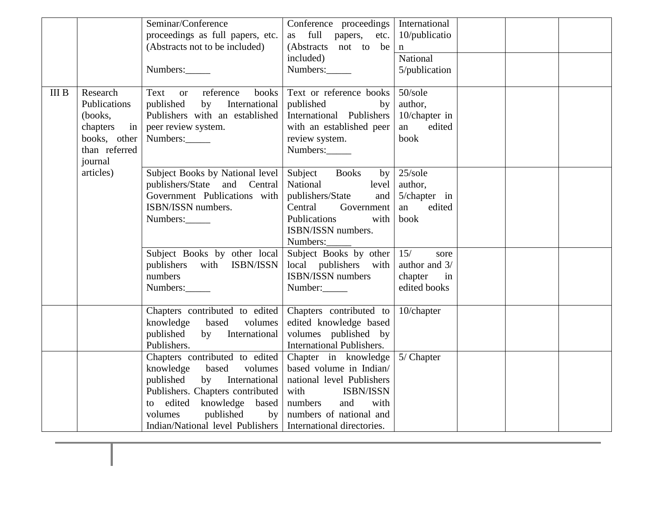|             |                | Seminar/Conference                                            | Conference proceedings   International |                  |  |  |
|-------------|----------------|---------------------------------------------------------------|----------------------------------------|------------------|--|--|
|             |                | proceedings as full papers, etc.                              | full papers,<br>etc.<br>as             | $10$ /publicatio |  |  |
|             |                | (Abstracts not to be included)                                | (Abstracts not to be                   | n                |  |  |
|             |                |                                                               | included)                              | National         |  |  |
|             |                | Numbers:                                                      | Numbers:                               | 5/publication    |  |  |
|             |                |                                                               |                                        |                  |  |  |
| $\rm III$ B | Research       | Text or reference<br>books                                    | Text or reference books                | $50$ /sole       |  |  |
|             | Publications   | International<br>published<br>by                              | published<br>by                        | author,          |  |  |
|             | (books,        | Publishers with an established                                | International Publishers               | 10/chapter in    |  |  |
|             | in<br>chapters | peer review system.                                           | with an established peer               | an<br>edited     |  |  |
|             | books, other   | Numbers:                                                      | review system.                         | book             |  |  |
|             | than referred  |                                                               | Numbers:                               |                  |  |  |
|             | journal        |                                                               |                                        |                  |  |  |
|             | articles)      | Subject Books by National level                               | Subject Books<br>by                    | 25/sole          |  |  |
|             |                | publishers/State and Central                                  | National<br>level                      | author,          |  |  |
|             |                | Government Publications with                                  | publishers/State<br>and                | 5/chapter in     |  |  |
|             |                | ISBN/ISSN numbers.                                            | Government<br>Central                  | an<br>edited     |  |  |
|             |                | Numbers:                                                      | Publications<br>with                   | book             |  |  |
|             |                |                                                               | ISBN/ISSN numbers.                     |                  |  |  |
|             |                |                                                               | Numbers:                               |                  |  |  |
|             |                | Subject Books by other local                                  | Subject Books by other $ 15/$          | sore             |  |  |
|             |                | publishers with ISBN/ISSN                                     | local publishers with                  | author and 3/    |  |  |
|             |                | numbers                                                       | ISBN/ISSN numbers                      | chapter<br>in    |  |  |
|             |                | Numbers:                                                      | Number:                                | edited books     |  |  |
|             |                |                                                               |                                        |                  |  |  |
|             |                | Chapters contributed to edited                                | Chapters contributed to                | 10/chapter       |  |  |
|             |                | knowledge based<br>volumes                                    | edited knowledge based                 |                  |  |  |
|             |                | by International<br>published                                 | volumes published by                   |                  |  |  |
|             |                | Publishers.                                                   | <b>International Publishers.</b>       |                  |  |  |
|             |                | Chapters contributed to edited                                | Chapter in knowledge                   | 5/ Chapter       |  |  |
|             |                | knowledge based<br>volumes                                    | based volume in Indian/                |                  |  |  |
|             |                | by International<br>published                                 | national level Publishers              |                  |  |  |
|             |                | Publishers. Chapters contributed                              | with<br><b>ISBN/ISSN</b>               |                  |  |  |
|             |                | knowledge based<br>to edited                                  | numbers<br>and<br>with                 |                  |  |  |
|             |                | published<br>by<br>volumes                                    | numbers of national and                |                  |  |  |
|             |                | Indian/National level Publishers   International directories. |                                        |                  |  |  |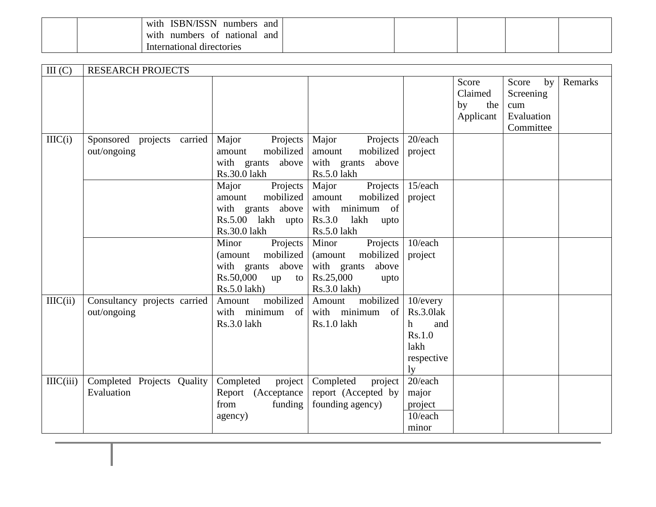|  | <b>ISBN/ISSN</b><br>with<br>and<br>numbers |  |  |  |
|--|--------------------------------------------|--|--|--|
|  | with<br>and<br>numbers<br>national<br>- OI |  |  |  |
|  | International directories                  |  |  |  |

| III(C)   | <b>RESEARCH PROJECTS</b>                    |                                                                                                         |                                                                                                        |                                                                                     |                                            |                                                            |         |
|----------|---------------------------------------------|---------------------------------------------------------------------------------------------------------|--------------------------------------------------------------------------------------------------------|-------------------------------------------------------------------------------------|--------------------------------------------|------------------------------------------------------------|---------|
|          |                                             |                                                                                                         |                                                                                                        |                                                                                     | Score<br>Claimed<br>by<br>the<br>Applicant | Score<br>by<br>Screening<br>cum<br>Evaluation<br>Committee | Remarks |
| IILC(i)  | Sponsored projects carried<br>out/ongoing   | Major<br>Projects<br>mobilized<br>amount<br>with grants<br>above<br>Rs.30.0 lakh                        | Major<br>Projects<br>mobilized<br>amount<br>with grants<br>above<br>Rs.5.0 lakh                        | 20/each<br>project                                                                  |                                            |                                                            |         |
|          |                                             | Major<br>Projects<br>mobilized<br>amount<br>with grants<br>above<br>Rs.5.00 lakh upto<br>Rs.30.0 lakh   | Major<br>Projects<br>mobilized<br>amount<br>with minimum of<br>Rs.3.0<br>lakh<br>upto<br>Rs.5.0 lakh   | 15/each<br>project                                                                  |                                            |                                                            |         |
|          |                                             | Projects<br>Minor<br>mobilized<br>(amount<br>with grants above<br>Rs.50,000<br>up<br>to<br>Rs.5.0 lakh) | Projects<br>Minor<br>mobilized<br>(amount<br>with grants<br>above<br>Rs.25,000<br>upto<br>Rs.3.0 lakh) | 10/each<br>project                                                                  |                                            |                                                            |         |
| IILC(ii) | Consultancy projects carried<br>out/ongoing | mobilized<br>Amount<br>with minimum<br>of<br>Rs.3.0 lakh                                                | mobilized<br>Amount<br>with minimum<br>of<br>Rs.1.0 lakh                                               | 10/every<br>Rs.3.0lak<br>and<br>h<br>Rs.1.0<br>lakh<br>respective<br>1 <sub>y</sub> |                                            |                                                            |         |
| IIC(iii) | Completed Projects Quality<br>Evaluation    | Completed<br>project<br>Report (Acceptance<br>from<br>funding<br>agency)                                | Completed<br>project<br>report (Accepted by<br>founding agency)                                        | 20/each<br>major<br>project<br>10/each<br>minor                                     |                                            |                                                            |         |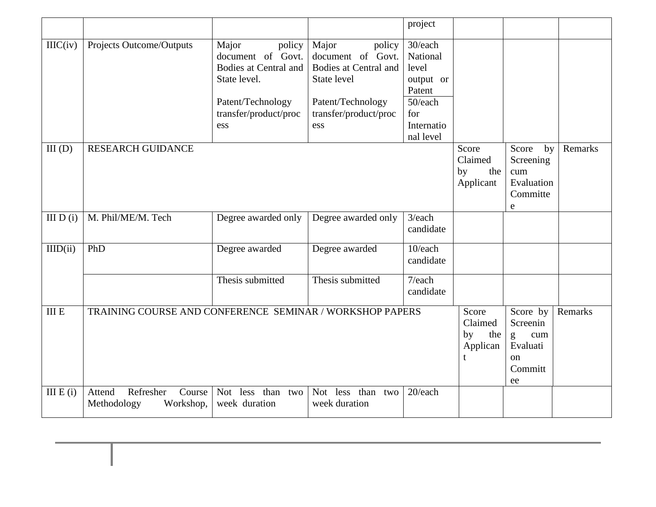|                  |                                                           |                                                                                                                                    |                                                                                                                                          | project                                                                                          |                                            |                                                                                              |         |
|------------------|-----------------------------------------------------------|------------------------------------------------------------------------------------------------------------------------------------|------------------------------------------------------------------------------------------------------------------------------------------|--------------------------------------------------------------------------------------------------|--------------------------------------------|----------------------------------------------------------------------------------------------|---------|
| $\text{IHC}(iv)$ | Projects Outcome/Outputs                                  | Major<br>policy<br>document of Govt.<br>Bodies at Central and<br>State level.<br>Patent/Technology<br>transfer/product/proc<br>ess | Major<br>policy<br>document of Govt.<br><b>Bodies at Central and</b><br>State level<br>Patent/Technology<br>transfer/product/proc<br>ess | 30/each<br>National<br>level<br>output or<br>Patent<br>50/each<br>for<br>Internatio<br>nal level |                                            |                                                                                              |         |
| III(D)           | <b>RESEARCH GUIDANCE</b>                                  |                                                                                                                                    |                                                                                                                                          |                                                                                                  | Score<br>Claimed<br>by<br>the<br>Applicant | Score<br>by<br>Screening<br>cum<br>Evaluation<br>Committe<br>e                               | Remarks |
| III D(i)         | M. Phil/ME/M. Tech                                        | Degree awarded only                                                                                                                | Degree awarded only                                                                                                                      | 3/each<br>candidate                                                                              |                                            |                                                                                              |         |
| IIID(ii)         | PhD                                                       | Degree awarded                                                                                                                     | Degree awarded                                                                                                                           | 10/each<br>candidate                                                                             |                                            |                                                                                              |         |
|                  |                                                           | Thesis submitted                                                                                                                   | Thesis submitted                                                                                                                         | 7/each<br>candidate                                                                              |                                            |                                                                                              |         |
| $\rm III$ E      | TRAINING COURSE AND CONFERENCE SEMINAR / WORKSHOP PAPERS  |                                                                                                                                    |                                                                                                                                          |                                                                                                  |                                            | $\overline{S}$ core by<br>Screenin<br>g<br>cum<br>Evaluati<br><sub>on</sub><br>Committ<br>ee | Remarks |
| III E(i)         | Attend<br>Refresher<br>Course<br>Methodology<br>Workshop, | Not less than two<br>week duration                                                                                                 | Not less<br>than<br>two<br>week duration                                                                                                 | 20/each                                                                                          |                                            |                                                                                              |         |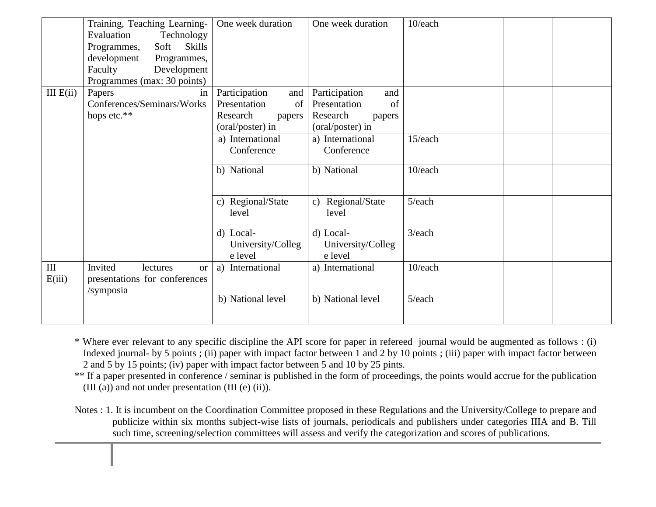|             | Training, Teaching Learning-               | One week duration    | One week duration    | 10/each   |  |
|-------------|--------------------------------------------|----------------------|----------------------|-----------|--|
|             | Evaluation<br>Technology                   |                      |                      |           |  |
|             | <b>Skills</b><br>Soft<br>Programmes,       |                      |                      |           |  |
|             | development<br>Programmes,                 |                      |                      |           |  |
|             | Development<br>Faculty                     |                      |                      |           |  |
|             | Programmes (max: 30 points)                |                      |                      |           |  |
| III $E(ii)$ | Papers<br>in                               | Participation<br>and | Participation<br>and |           |  |
|             | Conferences/Seminars/Works                 | Presentation<br>of   | Presentation<br>of   |           |  |
|             | hops etc.**                                | Research<br>papers   | Research<br>papers   |           |  |
|             |                                            | (oral/poster) in     | (oral/poster) in     |           |  |
|             |                                            | a) International     | a) International     | 15/each   |  |
|             |                                            | Conference           | Conference           |           |  |
|             |                                            |                      |                      |           |  |
|             |                                            | b) National          | b) National          | 10/each   |  |
|             |                                            |                      |                      |           |  |
|             |                                            | c) Regional/State    | c) Regional/State    | 5/each    |  |
|             |                                            | level                | level                |           |  |
|             |                                            | d) Local-            | d) Local-            | $3$ /each |  |
|             |                                            | University/Colleg    | University/Colleg    |           |  |
|             |                                            | e level              | e level              |           |  |
| $\rm III$   | Invited<br>lectures                        | International<br>a)  | a) International     | 10/each   |  |
| E(iii)      | <b>or</b><br>presentations for conferences |                      |                      |           |  |
|             |                                            |                      |                      |           |  |
|             | /symposia                                  | b) National level    | b) National level    | 5/each    |  |
|             |                                            |                      |                      |           |  |
|             |                                            |                      |                      |           |  |

\* Where ever relevant to any specific discipline the API score for paper in refereed journal would be augmented as follows : (i) Indexed journal- by 5 points ; (ii) paper with impact factor between 1 and 2 by 10 points ; (iii) paper with impact factor between 2 and 5 by 15 points; (iv) paper with impact factor between 5 and 10 by 25 pints.

\*\* If a paper presented in conference / seminar is published in the form of proceedings, the points would accrue for the publication (III (a)) and not under presentation (III (e) (ii)).

Notes : 1. It is incumbent on the Coordination Committee proposed in these Regulations and the University/College to prepare and publicize within six months subject-wise lists of journals, periodicals and publishers under categories IIIA and B. Till such time, screening/selection committees will assess and verify the categorization and scores of publications.